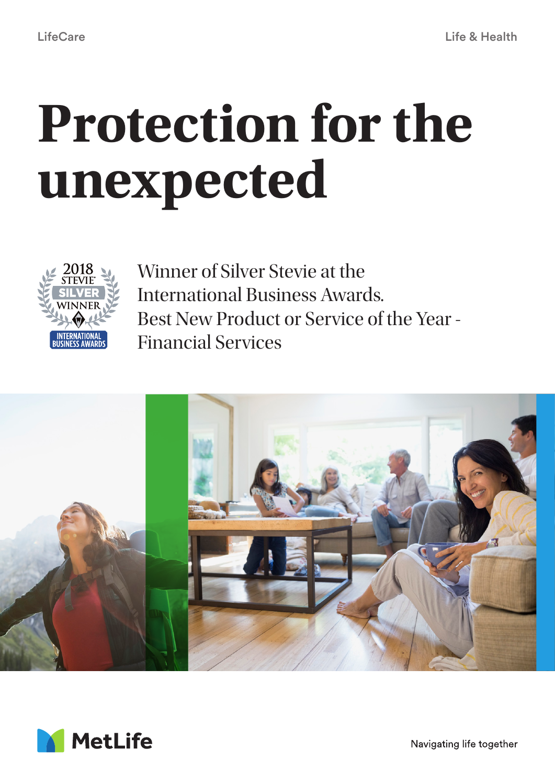# **Protection for the unexpected**



Winner of Silver Stevie at the International Business Awards. Best New Product or Service of the Year - Financial Services





Navigating life together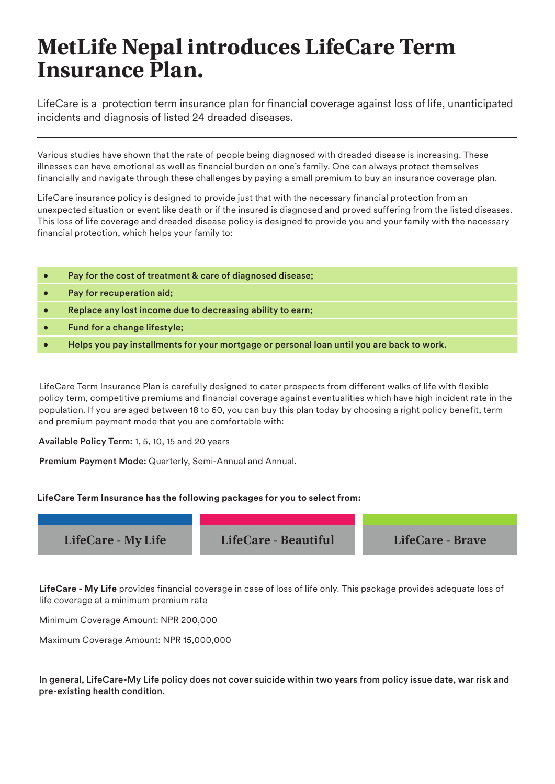## **MetLife Nepal introduces LifeCare Term Insurance Plan.**

LifeCare is a protection term insurance plan for financial coverage against loss of life, unanticipated incidents and diagnosis of listed 24 dreaded diseases.

Various studies have shown that the rate of people being diagnosed with dreaded disease is increasing. These illnesses can have emotional as well as financial burden on one's family. One can always protect themselves financially and navigate through these challenges by paying a small premium to buy an insurance coverage plan.

LifeCare insurance policy is designed to provide just that with the necessary financial protection from an unexpected situation or event like death or if the insured is diagnosed and proved suffering from the listed diseases. This loss of life coverage and dreaded disease policy is designed to provide you and your family with the necessary financial protection, which helps your family to:

| Pay for the cost of treatment & care of diagnosed disease;                                |
|-------------------------------------------------------------------------------------------|
| Pay for recuperation aid;                                                                 |
| Replace any lost income due to decreasing ability to earn;                                |
| Fund for a change lifestyle;                                                              |
| Helps you pay installments for your mortgage or personal loan until you are back to work. |

LifeCare Term Insurance Plan is carefully designed to cater prospects from different walks of life with flexible policy term, competitive premiums and financial coverage against eventualities which have high incident rate in the population. If you are aged between 18 to 60, you can buy this plan today by choosing a right policy benefit, term and premium payment mode that you are comfortable with:

Available Policy Term: 1, 5, 10, 15 and 20 years

Premium Payment Mode: Quarterly, Semi-Annual and Annual.

#### **LifeCare Term Insurance has the following packages for you to select from:**

| LifeCare - My Life | LifeCare - Beautiful | LifeCare - Brave |
|--------------------|----------------------|------------------|

**LifeCare - My Life** provides financial coverage in case of loss of life only. This package provides adequate loss of life coverage at a minimum premium rate

Minimum Coverage Amount: NPR 200,000

Maximum Coverage Amount: NPR 15,000,000

In general, LifeCare-My Life policy does not cover suicide within two years from policy issue date, war risk and pre-existing health condition.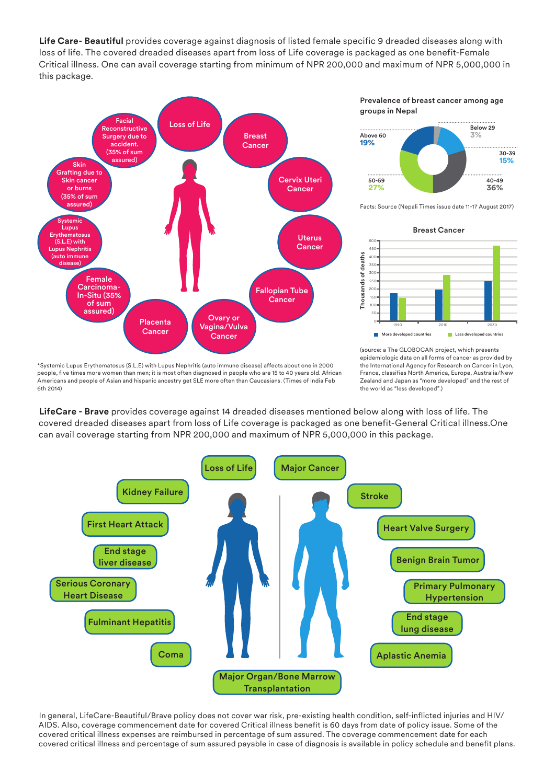**Life Care- Beautiful** provides coverage against diagnosis of listed female specific 9 dreaded diseases along with loss of life. The covered dreaded diseases apart from loss of Life coverage is packaged as one benefit-Female Critical illness. One can avail coverage starting from minimum of NPR 200,000 and maximum of NPR 5,000,000 in this package.



Prevalence of breast cancer among age groups in Nepal



Facts: Source (Nepali Times issue date 11-17 August 2017)



\*Systemic Lupus Erythematosus (S.L.E) with Lupus Nephritis (auto immune disease) affects about one in 2000 people, five times more women than men; it is most often diagnosed in people who are 15 to 40 years old. African Americans and people of Asian and hispanic ancestry get SLE more often than Caucasians. (Times of India Feb 6th 2014)

(source: a The GLOBOCAN project, which presents epidemiologic data on all forms of cancer as provided by the International Agency for Research on Cancer in Lyon, France, classifies North America, Europe, Australia/New Zealand and Japan as "more developed" and the rest of the world as "less developed".)

**LifeCare - Brave** provides coverage against 14 dreaded diseases mentioned below along with loss of life. The covered dreaded diseases apart from loss of Life coverage is packaged as one benefit-General Critical illness.One can avail coverage starting from NPR 200,000 and maximum of NPR 5,000,000 in this package.



In general, LifeCare-Beautiful/Brave policy does not cover war risk, pre-existing health condition, self-inflicted injuries and HIV/ AIDS. Also, coverage commencement date for covered Critical illness benefit is 60 days from date of policy issue. Some of the covered critical illness expenses are reimbursed in percentage of sum assured. The coverage commencement date for each covered critical illness and percentage of sum assured payable in case of diagnosis is available in policy schedule and benefit plans.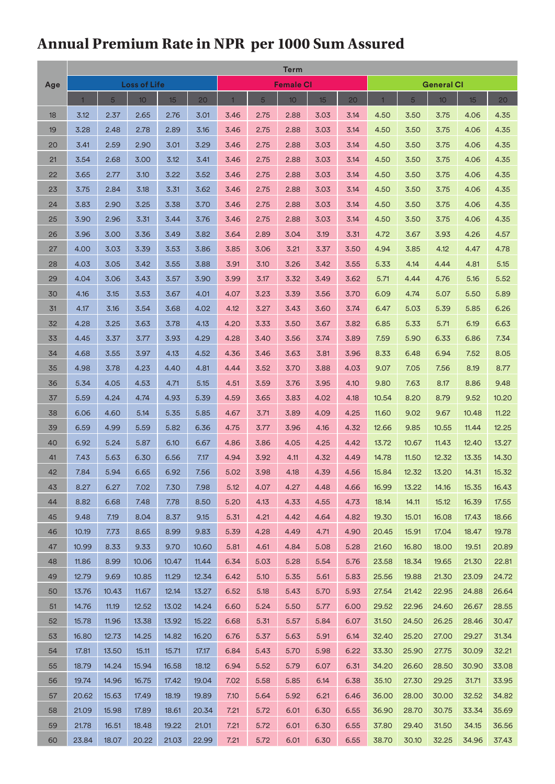### **Annual Premium Rate in NPR per 1000 Sum Assured**

|          | Term           |       |       |       |       |                  |      |      |      |                   |       |                |                 |                  |       |
|----------|----------------|-------|-------|-------|-------|------------------|------|------|------|-------------------|-------|----------------|-----------------|------------------|-------|
| Age      | Loss of Life   |       |       |       |       | <b>Female CI</b> |      |      |      | <b>General CI</b> |       |                |                 |                  |       |
|          | $\overline{1}$ | 5     | 10    | 15    | 20    |                  | 5    | 10   | 15   | 20 <sub>2</sub>   |       | $\overline{5}$ | 10 <sup>1</sup> | 15 <sup>15</sup> | 20    |
| 18       | 3.12           | 2.37  | 2.65  | 2.76  | 3.01  | 3.46             | 2.75 | 2.88 | 3.03 | 3.14              | 4.50  | 3.50           | 3.75            | 4.06             | 4.35  |
| 19       | 3.28           | 2.48  | 2.78  | 2.89  | 3.16  | 3.46             | 2.75 | 2.88 | 3.03 | 3.14              | 4.50  | 3.50           | 3.75            | 4.06             | 4.35  |
| 20       | 3.41           | 2.59  | 2.90  | 3.01  | 3.29  | 3.46             | 2.75 | 2.88 | 3.03 | 3.14              | 4.50  | 3.50           | 3.75            | 4.06             | 4.35  |
| 21       | 3.54           | 2.68  | 3.00  | 3.12  | 3.41  | 3.46             | 2.75 | 2.88 | 3.03 | 3.14              | 4.50  | 3.50           | 3.75            | 4.06             | 4.35  |
| 22       | 3.65           | 2.77  | 3.10  | 3.22  | 3.52  | 3.46             | 2.75 | 2.88 | 3.03 | 3.14              | 4.50  | 3.50           | 3.75            | 4.06             | 4.35  |
| 23       | 3.75           | 2.84  | 3.18  | 3.31  | 3.62  | 3.46             | 2.75 | 2.88 | 3.03 | 3.14              | 4.50  | 3.50           | 3.75            | 4.06             | 4.35  |
| 24       | 3.83           | 2.90  | 3.25  | 3.38  | 3.70  | 3.46             | 2.75 | 2.88 | 3.03 | 3.14              | 4.50  | 3.50           | 3.75            | 4.06             | 4.35  |
| 25       | 3.90           | 2.96  | 3.31  | 3.44  | 3.76  | 3.46             | 2.75 | 2.88 | 3.03 | 3.14              | 4.50  | 3.50           | 3.75            | 4.06             | 4.35  |
| 26       | 3.96           | 3.00  | 3.36  | 3.49  | 3.82  | 3.64             | 2.89 | 3.04 | 3.19 | 3.31              | 4.72  | 3.67           | 3.93            | 4.26             | 4.57  |
| 27       | 4.00           | 3.03  | 3.39  | 3.53  | 3.86  | 3.85             | 3.06 | 3.21 | 3.37 | 3.50              | 4.94  | 3.85           | 4.12            | 4.47             | 4.78  |
| 28       | 4.03           | 3.05  | 3.42  | 3.55  | 3.88  | 3.91             | 3.10 | 3.26 | 3.42 | 3.55              | 5.33  | 4.14           | 4.44            | 4.81             | 5.15  |
| 29       | 4.04           | 3.06  | 3.43  | 3.57  | 3.90  | 3.99             | 3.17 | 3.32 | 3.49 | 3.62              | 5.71  | 4.44           | 4.76            | 5.16             | 5.52  |
| 30       | 4.16           | 3.15  | 3.53  | 3.67  | 4.01  | 4.07             | 3.23 | 3.39 | 3.56 | 3.70              | 6.09  | 4.74           | 5.07            | 5.50             | 5.89  |
| 31       | 4.17           | 3.16  | 3.54  | 3.68  | 4.02  | 4.12             | 3.27 | 3.43 | 3.60 | 3.74              | 6.47  | 5.03           | 5.39            | 5.85             | 6.26  |
| 32       | 4.28           | 3.25  | 3.63  | 3.78  | 4.13  | 4.20             | 3.33 | 3.50 | 3.67 | 3.82              | 6.85  | 5.33           | 5.71            | 6.19             | 6.63  |
| 33       | 4.45           | 3.37  | 3.77  | 3.93  | 4.29  | 4.28             | 3.40 | 3.56 | 3.74 | 3.89              | 7.59  | 5.90           | 6.33            | 6.86             | 7.34  |
| 34       | 4.68           | 3.55  | 3.97  | 4.13  | 4.52  | 4.36             | 3.46 | 3.63 | 3.81 | 3.96              | 8.33  | 6.48           | 6.94            | 7.52             | 8.05  |
| 35       | 4.98           | 3.78  | 4.23  | 4.40  | 4.81  | 4.44             | 3.52 | 3.70 | 3.88 | 4.03              | 9.07  | 7.05           | 7.56            | 8.19             | 8.77  |
| 36       | 5.34           | 4.05  | 4.53  | 4.71  | 5.15  | 4.51             | 3.59 | 3.76 | 3.95 | 4.10              | 9.80  | 7.63           | 8.17            | 8.86             | 9.48  |
| 37       | 5.59           | 4.24  | 4.74  | 4.93  | 5.39  | 4.59             | 3.65 | 3.83 | 4.02 | 4.18              | 10.54 | 8.20           | 8.79            | 9.52             | 10.20 |
| 38       | 6.06           | 4.60  | 5.14  | 5.35  | 5.85  | 4.67             | 3.71 | 3.89 | 4.09 | 4.25              | 11.60 | 9.02           | 9.67            | 10.48            | 11.22 |
| 39       | 6.59           | 4.99  | 5.59  | 5.82  | 6.36  | 4.75             | 3.77 | 3.96 | 4.16 | 4.32              | 12.66 | 9.85           | 10.55           | 11.44            | 12.25 |
| 40       | 6.92           | 5.24  | 5.87  | 6.10  | 6.67  | 4.86             | 3.86 | 4.05 | 4.25 | 4.42              | 13.72 | 10.67          | 11.43           | 12.40            | 13.27 |
| 41       | 7.43           | 5.63  | 6.30  | 6.56  | 7.17  | 4.94             | 3.92 | 4.11 | 4.32 | 4.49              | 14.78 | 11.50          | 12.32           | 13.35            | 14.30 |
| 42       | 7.84           | 5.94  | 6.65  | 6.92  | 7.56  | 5.02             | 3.98 | 4.18 | 4.39 | 4.56              | 15.84 | 12.32          | 13.20           | 14.31            | 15.32 |
| 43       | 8.27           | 6.27  | 7.02  | 7.30  | 7.98  | 5.12             | 4.07 | 4.27 | 4.48 | 4.66              | 16.99 | 13.22          | 14.16           | 15.35            | 16.43 |
| 44       | 8.82           | 6.68  | 7.48  | 7.78  | 8.50  | 5.20             | 4.13 | 4.33 | 4.55 | 4.73              | 18.14 | 14.11          | 15.12           | 16.39            | 17.55 |
| 45       | 9.48           | 7.19  | 8.04  | 8.37  | 9.15  | 5.31             | 4.21 | 4.42 | 4.64 | 4.82              | 19.30 | 15.01          | 16.08           | 17.43            | 18.66 |
| 46       | 10.19          | 7.73  | 8.65  | 8.99  | 9.83  | 5.39             | 4.28 | 4.49 | 4.71 | 4.90              | 20.45 | 15.91          | 17.04           | 18.47            | 19.78 |
| 47       | 10.99          | 8.33  | 9.33  | 9.70  | 10.60 | 5.81             | 4.61 | 4.84 | 5.08 | 5.28              | 21.60 | 16.80          | 18.00           | 19.51            | 20.89 |
| 48       | 11.86          | 8.99  | 10.06 | 10.47 | 11.44 | 6.34             | 5.03 | 5.28 | 5.54 | 5.76              | 23.58 | 18.34          | 19.65           | 21.30            | 22.81 |
| 49       | 12.79          | 9.69  | 10.85 | 11.29 | 12.34 | 6.42             | 5.10 | 5.35 | 5.61 | 5.83              | 25.56 | 19.88          | 21.30           | 23.09            | 24.72 |
| 50       | 13.76          | 10.43 | 11.67 | 12.14 | 13.27 | 6.52             | 5.18 | 5.43 | 5.70 | 5.93              | 27.54 | 21.42          | 22.95           | 24.88            | 26.64 |
| 51       | 14.76          | 11.19 | 12.52 | 13.02 | 14.24 | 6.60             | 5.24 | 5.50 | 5.77 | 6.00              | 29.52 | 22.96          | 24.60           | 26.67            | 28.55 |
| 52       | 15.78          | 11.96 | 13.38 | 13.92 | 15.22 | 6.68             | 5.31 | 5.57 | 5.84 | 6.07              | 31.50 | 24.50          | 26.25           | 28.46            | 30.47 |
|          | 16.80          |       | 14.25 | 14.82 | 16.20 |                  |      | 5.63 | 5.91 | 6.14              | 32.40 | 25.20          | 27.00           | 29.27            | 31.34 |
| 53       |                | 12.73 |       |       |       | 6.76             | 5.37 |      |      |                   |       |                |                 |                  |       |
| 54<br>55 | 17.81          | 13.50 | 15.11 | 15.71 | 17.17 | 6.84             | 5.43 | 5.70 | 5.98 | 6.22              | 33.30 | 25.90          | 27.75           | 30.09            | 32.21 |
|          | 18.79          | 14.24 | 15.94 | 16.58 | 18.12 | 6.94             | 5.52 | 5.79 | 6.07 | 6.31              | 34.20 | 26.60          | 28.50           | 30.90            | 33.08 |
| 56       | 19.74          | 14.96 | 16.75 | 17.42 | 19.04 | 7.02             | 5.58 | 5.85 | 6.14 | 6.38              | 35.10 | 27.30          | 29.25           | 31.71            | 33.95 |
| 57       | 20.62          | 15.63 | 17.49 | 18.19 | 19.89 | 7.10             | 5.64 | 5.92 | 6.21 | 6.46              | 36.00 | 28.00          | 30.00           | 32.52            | 34.82 |
| 58       | 21.09          | 15.98 | 17.89 | 18.61 | 20.34 | 7.21             | 5.72 | 6.01 | 6.30 | 6.55              | 36.90 | 28.70          | 30.75           | 33.34            | 35.69 |
| 59       | 21.78          | 16.51 | 18.48 | 19.22 | 21.01 | 7.21             | 5.72 | 6.01 | 6.30 | 6.55              | 37.80 | 29.40          | 31.50           | 34.15            | 36.56 |
| 60       | 23.84          | 18.07 | 20.22 | 21.03 | 22.99 | 7.21             | 5.72 | 6.01 | 6.30 | 6.55              | 38.70 | 30.10          | 32.25           | 34.96            | 37.43 |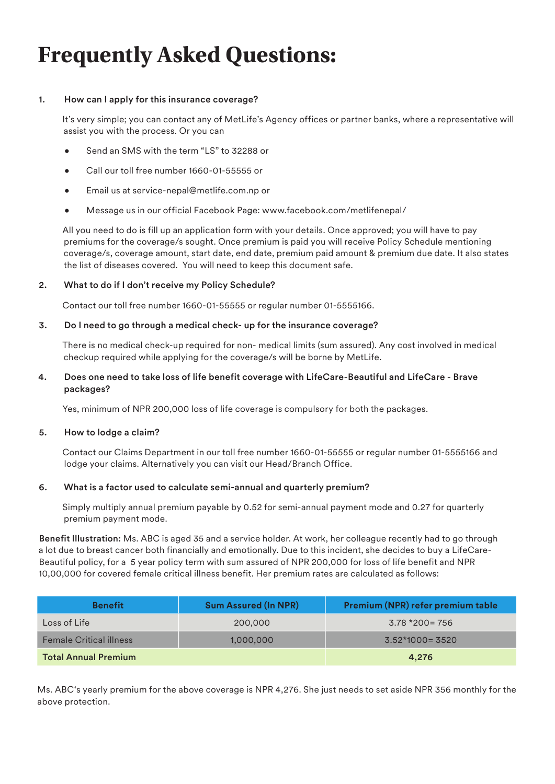## **Frequently Asked Questions:**

#### 1. How can I apply for this insurance coverage?

It's very simple; you can contact any of MetLife's Agency offices or partner banks, where a representative will assist you with the process. Or you can

- Send an SMS with the term "LS" to 32288 or
- Call our toll free number 1660-01-55555 or
- Email us at service-nepal@metlife.com.np or
- Message us in our official Facebook Page: www.facebook.com/metlifenepal/

All you need to do is fill up an application form with your details. Once approved; you will have to pay premiums for the coverage/s sought. Once premium is paid you will receive Policy Schedule mentioning coverage/s, coverage amount, start date, end date, premium paid amount & premium due date. It also states the list of diseases covered. You will need to keep this document safe.

#### 2. What to do if I don't receive my Policy Schedule?

Contact our toll free number 1660-01-55555 or regular number 01-5555166.

#### 3. Do I need to go through a medical check- up for the insurance coverage?

There is no medical check-up required for non- medical limits (sum assured). Any cost involved in medical checkup required while applying for the coverage/s will be borne by MetLife.

#### 4. Does one need to take loss of life benefit coverage with LifeCare-Beautiful and LifeCare - Brave packages?

Yes, minimum of NPR 200,000 loss of life coverage is compulsory for both the packages.

#### 5. How to lodge a claim?

Contact our Claims Department in our toll free number 1660-01-55555 or regular number 01-5555166 and lodge your claims. Alternatively you can visit our Head/Branch Office.

#### 6. What is a factor used to calculate semi-annual and quarterly premium?

Simply multiply annual premium payable by 0.52 for semi-annual payment mode and 0.27 for quarterly premium payment mode.

Benefit Illustration: Ms. ABC is aged 35 and a service holder. At work, her colleague recently had to go through a lot due to breast cancer both financially and emotionally. Due to this incident, she decides to buy a LifeCare-Beautiful policy, for a 5 year policy term with sum assured of NPR 200,000 for loss of life benefit and NPR 10,00,000 for covered female critical illness benefit. Her premium rates are calculated as follows:

| <b>Benefit</b>                 | <b>Sum Assured (In NPR)</b> | Premium (NPR) refer premium table |
|--------------------------------|-----------------------------|-----------------------------------|
| Loss of Life                   | 200,000                     | $3.78*200=756$                    |
| <b>Female Critical illness</b> | 1,000,000                   | $3.52*1000=3520$                  |
| <b>Total Annual Premium</b>    | 4.276                       |                                   |

Ms. ABC's yearly premium for the above coverage is NPR 4,276. She just needs to set aside NPR 356 monthly for the above protection.